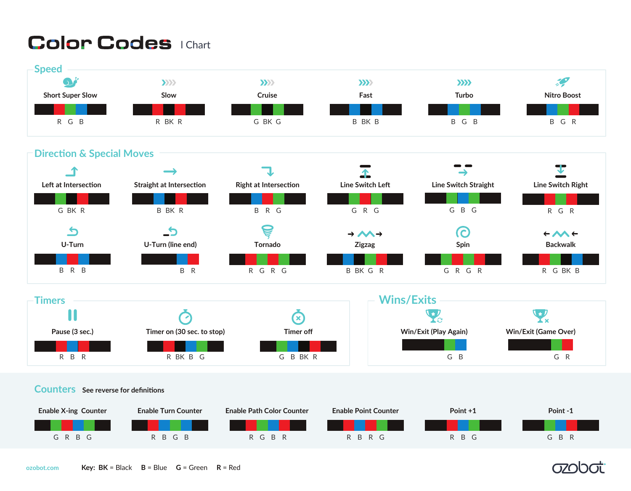# **Color Codes I Chart**



**Direction & Special Moves**



| <b>Fimers</b>  |                            | <b>Wins/Exits</b> |                              |                             |
|----------------|----------------------------|-------------------|------------------------------|-----------------------------|
|                |                            |                   |                              |                             |
| Pause (3 sec.) | Timer on (30 sec. to stop) | Timer off         | <b>Win/Exit (Play Again)</b> | <b>Win/Exit (Game Over)</b> |
|                |                            |                   |                              |                             |
| R B R          | R BK B G                   | G B BK R          | G B                          | G R                         |